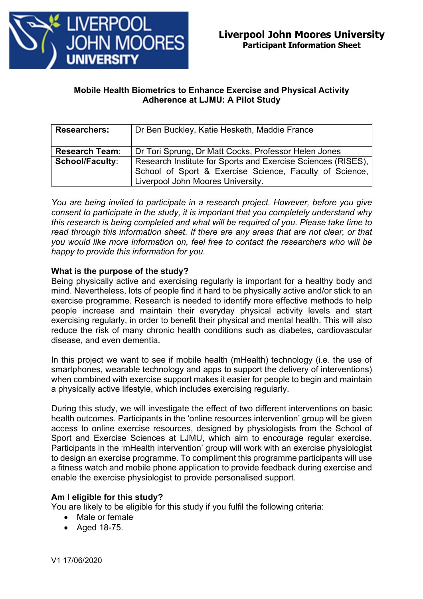

# **Mobile Health Biometrics to Enhance Exercise and Physical Activity Adherence at LJMU: A Pilot Study**

| <b>Researchers:</b>    | Dr Ben Buckley, Katie Hesketh, Maddie France                                                                                                                 |
|------------------------|--------------------------------------------------------------------------------------------------------------------------------------------------------------|
| <b>Research Team:</b>  | Dr Tori Sprung, Dr Matt Cocks, Professor Helen Jones                                                                                                         |
| <b>School/Faculty:</b> | Research Institute for Sports and Exercise Sciences (RISES),<br>School of Sport & Exercise Science, Faculty of Science,<br>Liverpool John Moores University. |

*You are being invited to participate in a research project. However, before you give consent to participate in the study, it is important that you completely understand why this research is being completed and what will be required of you. Please take time to read through this information sheet. If there are any areas that are not clear, or that you would like more information on, feel free to contact the researchers who will be happy to provide this information for you.*

# **What is the purpose of the study?**

Being physically active and exercising regularly is important for a healthy body and mind. Nevertheless, lots of people find it hard to be physically active and/or stick to an exercise programme. Research is needed to identify more effective methods to help people increase and maintain their everyday physical activity levels and start exercising regularly, in order to benefit their physical and mental health. This will also reduce the risk of many chronic health conditions such as diabetes, cardiovascular disease, and even dementia.

In this project we want to see if mobile health (mHealth) technology (i.e. the use of smartphones, wearable technology and apps to support the delivery of interventions) when combined with exercise support makes it easier for people to begin and maintain a physically active lifestyle, which includes exercising regularly.

During this study, we will investigate the effect of two different interventions on basic health outcomes. Participants in the 'online resources intervention' group will be given access to online exercise resources, designed by physiologists from the School of Sport and Exercise Sciences at LJMU, which aim to encourage regular exercise. Participants in the 'mHealth intervention' group will work with an exercise physiologist to design an exercise programme. To compliment this programme participants will use a fitness watch and mobile phone application to provide feedback during exercise and enable the exercise physiologist to provide personalised support.

# **Am I eligible for this study?**

You are likely to be eligible for this study if you fulfil the following criteria:

- Male or female
- Aged 18-75.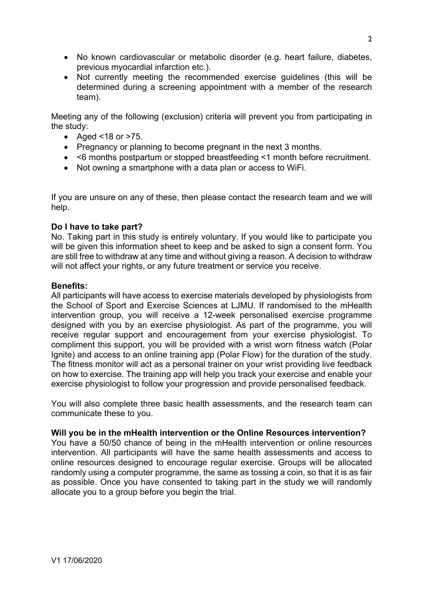- No known cardiovascular or metabolic disorder (e.g. heart failure, diabetes, previous myocardial infarction etc.).
- Not currently meeting the recommended exercise guidelines (this will be determined during a screening appointment with a member of the research team).

Meeting any of the following (exclusion) criteria will prevent you from participating in the study:

- Aged <18 or >75.
- Pregnancy or planning to become pregnant in the next 3 months.
- <6 months postpartum or stopped breastfeeding <1 month before recruitment.
- Not owning a smartphone with a data plan or access to WiFi.

If you are unsure on any of these, then please contact the research team and we will help.

### **Do I have to take part?**

No. Taking part in this study is entirely voluntary. If you would like to participate you will be given this information sheet to keep and be asked to sign a consent form. You are still free to withdraw at any time and without giving a reason. A decision to withdraw will not affect your rights, or any future treatment or service you receive.

### **Benefits:**

All participants will have access to exercise materials developed by physiologists from the School of Sport and Exercise Sciences at LJMU. If randomised to the mHealth intervention group, you will receive a 12-week personalised exercise programme designed with you by an exercise physiologist. As part of the programme, you will receive regular support and encouragement from your exercise physiologist. To compliment this support, you will be provided with a wrist worn fitness watch (Polar Ignite) and access to an online training app (Polar Flow) for the duration of the study. The fitness monitor will act as a personal trainer on your wrist providing live feedback on how to exercise. The training app will help you track your exercise and enable your exercise physiologist to follow your progression and provide personalised feedback.

You will also complete three basic health assessments, and the research team can communicate these to you.

# **Will you be in the mHealth intervention or the Online Resources intervention?**

You have a 50/50 chance of being in the mHealth intervention or online resources intervention. All participants will have the same health assessments and access to online resources designed to encourage regular exercise. Groups will be allocated randomly using a computer programme, the same as tossing a coin, so that it is as fair as possible. Once you have consented to taking part in the study we will randomly allocate you to a group before you begin the trial.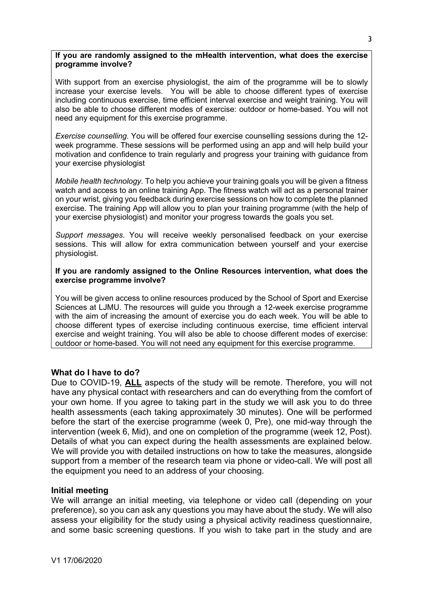#### **If you are randomly assigned to the mHealth intervention, what does the exercise programme involve?**

With support from an exercise physiologist, the aim of the programme will be to slowly increase your exercise levels. You will be able to choose different types of exercise including continuous exercise, time efficient interval exercise and weight training. You will also be able to choose different modes of exercise: outdoor or home-based. You will not need any equipment for this exercise programme.

*Exercise counselling.* You will be offered four exercise counselling sessions during the 12 week programme. These sessions will be performed using an app and will help build your motivation and confidence to train regularly and progress your training with guidance from your exercise physiologist

*Mobile health technology.* To help you achieve your training goals you will be given a fitness watch and access to an online training App. The fitness watch will act as a personal trainer on your wrist, giving you feedback during exercise sessions on how to complete the planned exercise. The training App will allow you to plan your training programme (with the help of your exercise physiologist) and monitor your progress towards the goals you set.

*Support messages*. You will receive weekly personalised feedback on your exercise sessions. This will allow for extra communication between yourself and your exercise physiologist.

### **If you are randomly assigned to the Online Resources intervention, what does the exercise programme involve?**

You will be given access to online resources produced by the School of Sport and Exercise Sciences at LJMU. The resources will guide you through a 12-week exercise programme with the aim of increasing the amount of exercise you do each week. You will be able to choose different types of exercise including continuous exercise, time efficient interval exercise and weight training. You will also be able to choose different modes of exercise: outdoor or home-based. You will not need any equipment for this exercise programme.

# **What do I have to do?**

Due to COVID-19, **ALL** aspects of the study will be remote. Therefore, you will not have any physical contact with researchers and can do everything from the comfort of your own home. If you agree to taking part in the study we will ask you to do three health assessments (each taking approximately 30 minutes). One will be performed before the start of the exercise programme (week 0, Pre), one mid-way through the intervention (week 6, Mid), and one on completion of the programme (week 12, Post). Details of what you can expect during the health assessments are explained below. We will provide you with detailed instructions on how to take the measures, alongside support from a member of the research team via phone or video-call. We will post all the equipment you need to an address of your choosing.

### **Initial meeting**

We will arrange an initial meeting, via telephone or video call (depending on your preference), so you can ask any questions you may have about the study. We will also assess your eligibility for the study using a physical activity readiness questionnaire, and some basic screening questions. If you wish to take part in the study and are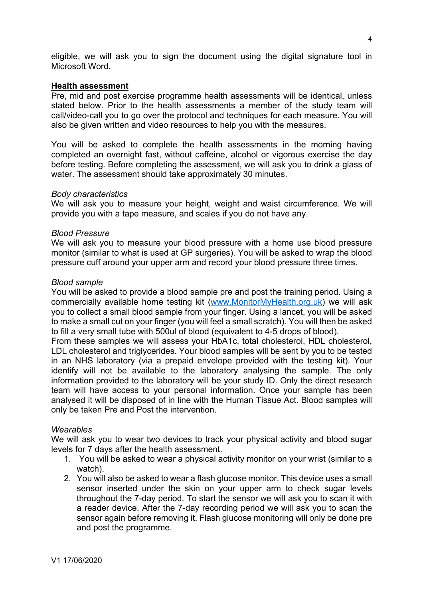eligible, we will ask you to sign the document using the digital signature tool in Microsoft Word.

#### **Health assessment**

Pre, mid and post exercise programme health assessments will be identical, unless stated below. Prior to the health assessments a member of the study team will call/video-call you to go over the protocol and techniques for each measure. You will also be given written and video resources to help you with the measures.

You will be asked to complete the health assessments in the morning having completed an overnight fast, without caffeine, alcohol or vigorous exercise the day before testing. Before completing the assessment, we will ask you to drink a glass of water. The assessment should take approximately 30 minutes.

#### *Body characteristics*

We will ask you to measure your height, weight and waist circumference. We will provide you with a tape measure, and scales if you do not have any.

#### *Blood Pressure*

We will ask you to measure your blood pressure with a home use blood pressure monitor (similar to what is used at GP surgeries). You will be asked to wrap the blood pressure cuff around your upper arm and record your blood pressure three times.

#### *Blood sample*

You will be asked to provide a blood sample pre and post the training period. Using a commercially available home testing kit (www.MonitorMyHealth.org.uk) we will ask you to collect a small blood sample from your finger. Using a lancet, you will be asked to make a small cut on your finger (you will feel a small scratch). You will then be asked to fill a very small tube with 500ul of blood (equivalent to 4-5 drops of blood).

From these samples we will assess your HbA1c, total cholesterol, HDL cholesterol, LDL cholesterol and triglycerides. Your blood samples will be sent by you to be tested in an NHS laboratory (via a prepaid envelope provided with the testing kit). Your identify will not be available to the laboratory analysing the sample. The only information provided to the laboratory will be your study ID. Only the direct research team will have access to your personal information. Once your sample has been analysed it will be disposed of in line with the Human Tissue Act. Blood samples will only be taken Pre and Post the intervention.

#### *Wearables*

We will ask you to wear two devices to track your physical activity and blood sugar levels for 7 days after the health assessment.

- 1. You will be asked to wear a physical activity monitor on your wrist (similar to a watch).
- 2. You will also be asked to wear a flash glucose monitor. This device uses a small sensor inserted under the skin on your upper arm to check sugar levels throughout the 7-day period. To start the sensor we will ask you to scan it with a reader device. After the 7-day recording period we will ask you to scan the sensor again before removing it. Flash glucose monitoring will only be done pre and post the programme.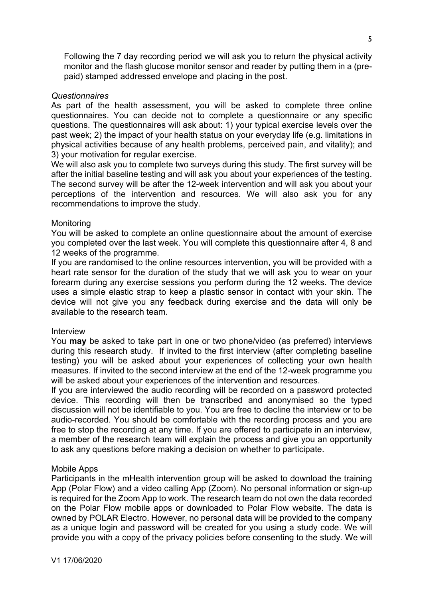Following the 7 day recording period we will ask you to return the physical activity monitor and the flash glucose monitor sensor and reader by putting them in a (prepaid) stamped addressed envelope and placing in the post.

### *Questionnaires*

As part of the health assessment, you will be asked to complete three online questionnaires. You can decide not to complete a questionnaire or any specific questions. The questionnaires will ask about: 1) your typical exercise levels over the past week; 2) the impact of your health status on your everyday life (e.g. limitations in physical activities because of any health problems, perceived pain, and vitality); and 3) your motivation for regular exercise.

We will also ask you to complete two surveys during this study. The first survey will be after the initial baseline testing and will ask you about your experiences of the testing. The second survey will be after the 12-week intervention and will ask you about your perceptions of the intervention and resources. We will also ask you for any recommendations to improve the study.

### **Monitoring**

You will be asked to complete an online questionnaire about the amount of exercise you completed over the last week. You will complete this questionnaire after 4, 8 and 12 weeks of the programme.

If you are randomised to the online resources intervention, you will be provided with a heart rate sensor for the duration of the study that we will ask you to wear on your forearm during any exercise sessions you perform during the 12 weeks. The device uses a simple elastic strap to keep a plastic sensor in contact with your skin. The device will not give you any feedback during exercise and the data will only be available to the research team.

### Interview

You **may** be asked to take part in one or two phone/video (as preferred) interviews during this research study. If invited to the first interview (after completing baseline testing) you will be asked about your experiences of collecting your own health measures. If invited to the second interview at the end of the 12-week programme you will be asked about your experiences of the intervention and resources.

If you are interviewed the audio recording will be recorded on a password protected device. This recording will then be transcribed and anonymised so the typed discussion will not be identifiable to you. You are free to decline the interview or to be audio-recorded. You should be comfortable with the recording process and you are free to stop the recording at any time. If you are offered to participate in an interview, a member of the research team will explain the process and give you an opportunity to ask any questions before making a decision on whether to participate.

### Mobile Apps

Participants in the mHealth intervention group will be asked to download the training App (Polar Flow) and a video calling App (Zoom). No personal information or sign-up is required for the Zoom App to work. The research team do not own the data recorded on the Polar Flow mobile apps or downloaded to Polar Flow website. The data is owned by POLAR Electro. However, no personal data will be provided to the company as a unique login and password will be created for you using a study code. We will provide you with a copy of the privacy policies before consenting to the study. We will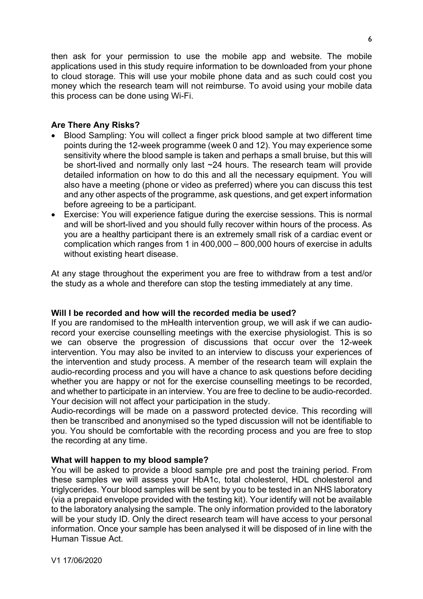then ask for your permission to use the mobile app and website. The mobile applications used in this study require information to be downloaded from your phone to cloud storage. This will use your mobile phone data and as such could cost you money which the research team will not reimburse. To avoid using your mobile data this process can be done using Wi-Fi.

# **Are There Any Risks?**

- Blood Sampling: You will collect a finger prick blood sample at two different time points during the 12-week programme (week 0 and 12). You may experience some sensitivity where the blood sample is taken and perhaps a small bruise, but this will be short-lived and normally only last ~24 hours. The research team will provide detailed information on how to do this and all the necessary equipment. You will also have a meeting (phone or video as preferred) where you can discuss this test and any other aspects of the programme, ask questions, and get expert information before agreeing to be a participant.
- Exercise: You will experience fatigue during the exercise sessions. This is normal and will be short-lived and you should fully recover within hours of the process. As you are a healthy participant there is an extremely small risk of a cardiac event or complication which ranges from 1 in 400,000 – 800,000 hours of exercise in adults without existing heart disease.

At any stage throughout the experiment you are free to withdraw from a test and/or the study as a whole and therefore can stop the testing immediately at any time.

# **Will I be recorded and how will the recorded media be used?**

If you are randomised to the mHealth intervention group, we will ask if we can audiorecord your exercise counselling meetings with the exercise physiologist. This is so we can observe the progression of discussions that occur over the 12-week intervention. You may also be invited to an interview to discuss your experiences of the intervention and study process. A member of the research team will explain the audio-recording process and you will have a chance to ask questions before deciding whether you are happy or not for the exercise counselling meetings to be recorded, and whether to participate in an interview. You are free to decline to be audio-recorded. Your decision will not affect your participation in the study.

Audio-recordings will be made on a password protected device. This recording will then be transcribed and anonymised so the typed discussion will not be identifiable to you. You should be comfortable with the recording process and you are free to stop the recording at any time.

# **What will happen to my blood sample?**

You will be asked to provide a blood sample pre and post the training period. From these samples we will assess your HbA1c, total cholesterol, HDL cholesterol and triglycerides. Your blood samples will be sent by you to be tested in an NHS laboratory (via a prepaid envelope provided with the testing kit). Your identify will not be available to the laboratory analysing the sample. The only information provided to the laboratory will be your study ID. Only the direct research team will have access to your personal information. Once your sample has been analysed it will be disposed of in line with the Human Tissue Act.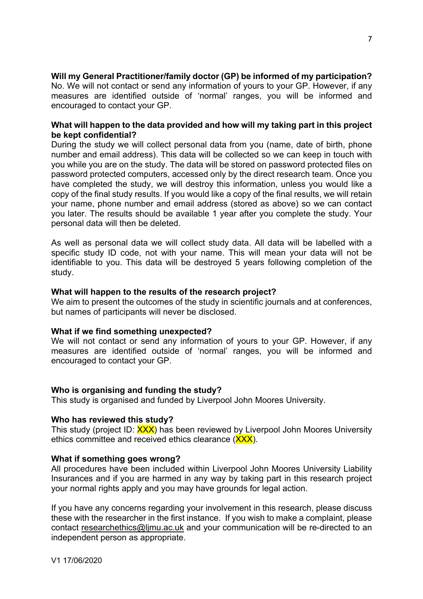**Will my General Practitioner/family doctor (GP) be informed of my participation?**

No. We will not contact or send any information of yours to your GP. However, if any measures are identified outside of 'normal' ranges, you will be informed and encouraged to contact your GP.

# **What will happen to the data provided and how will my taking part in this project be kept confidential?**

During the study we will collect personal data from you (name, date of birth, phone number and email address). This data will be collected so we can keep in touch with you while you are on the study. The data will be stored on password protected files on password protected computers, accessed only by the direct research team. Once you have completed the study, we will destroy this information, unless you would like a copy of the final study results. If you would like a copy of the final results, we will retain your name, phone number and email address (stored as above) so we can contact you later. The results should be available 1 year after you complete the study. Your personal data will then be deleted.

As well as personal data we will collect study data. All data will be labelled with a specific study ID code, not with your name. This will mean your data will not be identifiable to you. This data will be destroyed 5 years following completion of the study.

# **What will happen to the results of the research project?**

We aim to present the outcomes of the study in scientific journals and at conferences, but names of participants will never be disclosed.

# **What if we find something unexpected?**

We will not contact or send any information of yours to your GP. However, if any measures are identified outside of 'normal' ranges, you will be informed and encouraged to contact your GP.

# **Who is organising and funding the study?**

This study is organised and funded by Liverpool John Moores University.

### **Who has reviewed this study?**

This study (project ID: XXX) has been reviewed by Liverpool John Moores University ethics committee and received ethics clearance (XXX).

### **What if something goes wrong?**

All procedures have been included within Liverpool John Moores University Liability Insurances and if you are harmed in any way by taking part in this research project your normal rights apply and you may have grounds for legal action.

If you have any concerns regarding your involvement in this research, please discuss these with the researcher in the first instance. If you wish to make a complaint, please contact researchethics@ljmu.ac.uk and your communication will be re-directed to an independent person as appropriate.